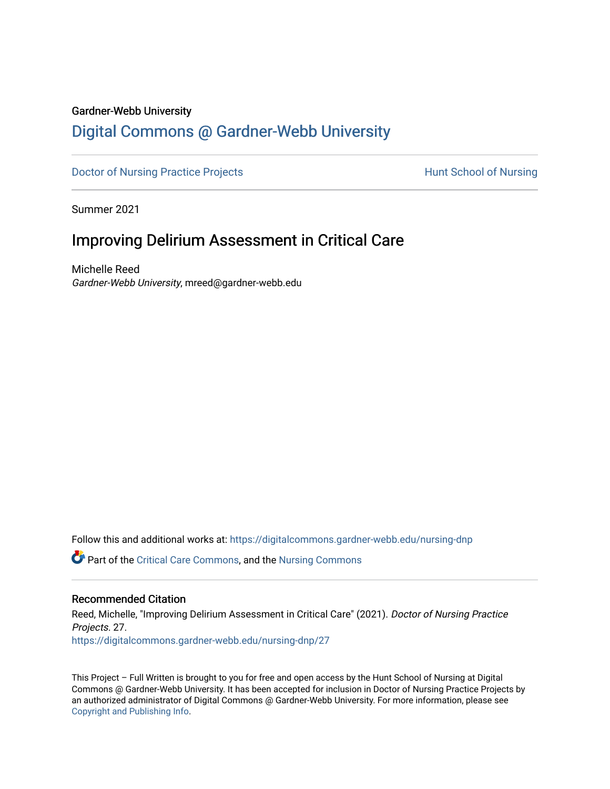#### Gardner-Webb University

# [Digital Commons @ Gardner-Webb University](https://digitalcommons.gardner-webb.edu/)

[Doctor of Nursing Practice Projects](https://digitalcommons.gardner-webb.edu/nursing-dnp) **Exercise Exercise Serverse Hunt School of Nursing** 

Summer 2021

# Improving Delirium Assessment in Critical Care

Michelle Reed Gardner-Webb University, mreed@gardner-webb.edu

Follow this and additional works at: [https://digitalcommons.gardner-webb.edu/nursing-dnp](https://digitalcommons.gardner-webb.edu/nursing-dnp?utm_source=digitalcommons.gardner-webb.edu%2Fnursing-dnp%2F27&utm_medium=PDF&utm_campaign=PDFCoverPages) 

Part of the [Critical Care Commons,](http://network.bepress.com/hgg/discipline/1226?utm_source=digitalcommons.gardner-webb.edu%2Fnursing-dnp%2F27&utm_medium=PDF&utm_campaign=PDFCoverPages) and the [Nursing Commons](http://network.bepress.com/hgg/discipline/718?utm_source=digitalcommons.gardner-webb.edu%2Fnursing-dnp%2F27&utm_medium=PDF&utm_campaign=PDFCoverPages)

### Recommended Citation

Reed, Michelle, "Improving Delirium Assessment in Critical Care" (2021). Doctor of Nursing Practice Projects. 27. [https://digitalcommons.gardner-webb.edu/nursing-dnp/27](https://digitalcommons.gardner-webb.edu/nursing-dnp/27?utm_source=digitalcommons.gardner-webb.edu%2Fnursing-dnp%2F27&utm_medium=PDF&utm_campaign=PDFCoverPages)

This Project – Full Written is brought to you for free and open access by the Hunt School of Nursing at Digital Commons @ Gardner-Webb University. It has been accepted for inclusion in Doctor of Nursing Practice Projects by an authorized administrator of Digital Commons @ Gardner-Webb University. For more information, please see [Copyright and Publishing Info.](https://digitalcommons.gardner-webb.edu/copyright_publishing.html)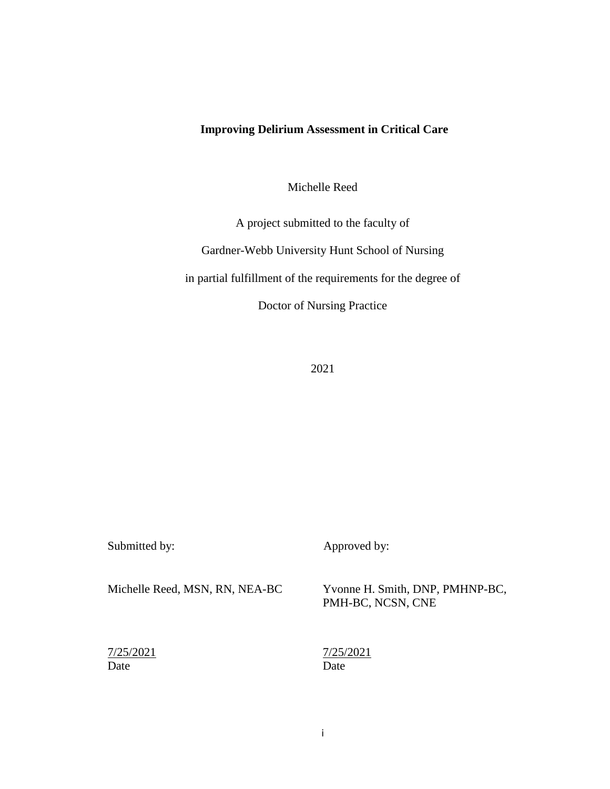## **Improving Delirium Assessment in Critical Care**

Michelle Reed

A project submitted to the faculty of

Gardner-Webb University Hunt School of Nursing

in partial fulfillment of the requirements for the degree of

Doctor of Nursing Practice

2021

| Submitted by:                  | Approved by:                                         |
|--------------------------------|------------------------------------------------------|
| Michelle Reed, MSN, RN, NEA-BC | Yvonne H. Smith, DNP, PMHNP-BC,<br>PMH-BC, NCSN, CNE |
| 7/25/2021<br>Date              | 7/25/2021<br>Date                                    |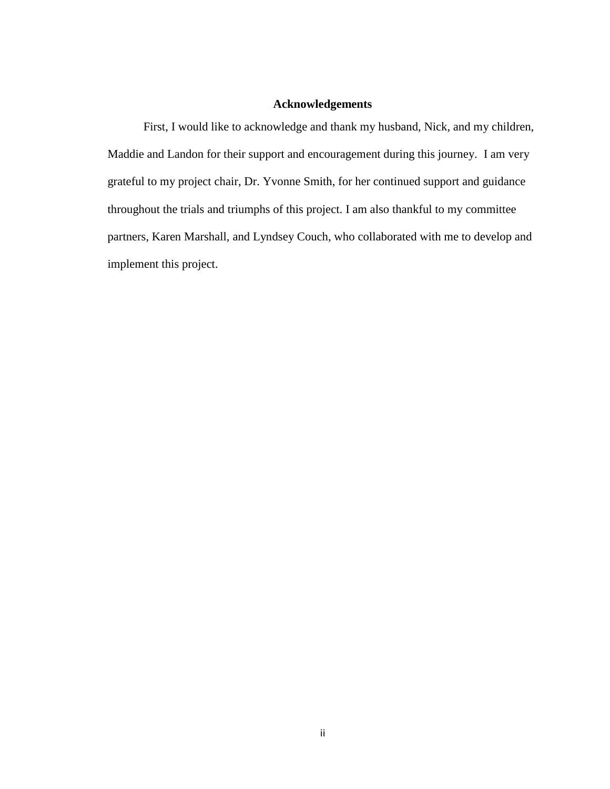### **Acknowledgements**

First, I would like to acknowledge and thank my husband, Nick, and my children, Maddie and Landon for their support and encouragement during this journey. I am very grateful to my project chair, Dr. Yvonne Smith, for her continued support and guidance throughout the trials and triumphs of this project. I am also thankful to my committee partners, Karen Marshall, and Lyndsey Couch, who collaborated with me to develop and implement this project.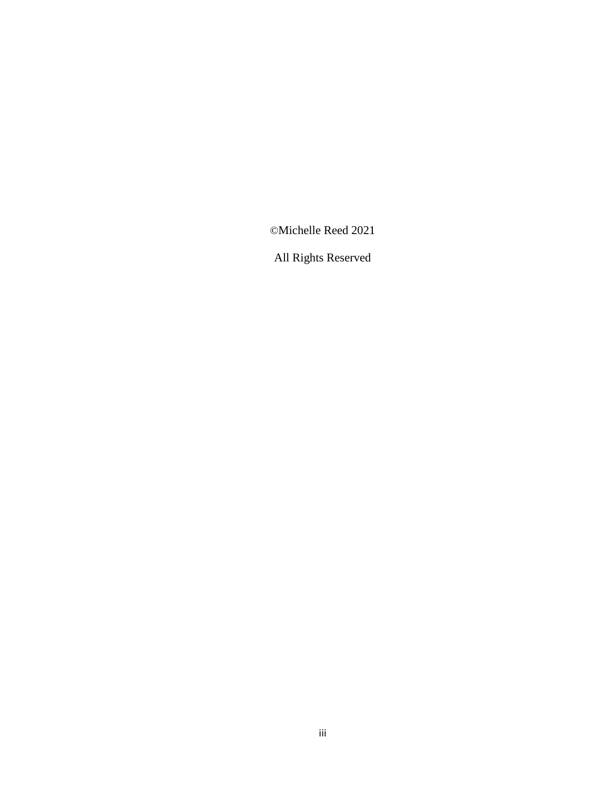©Michelle Reed 2021

All Rights Reserved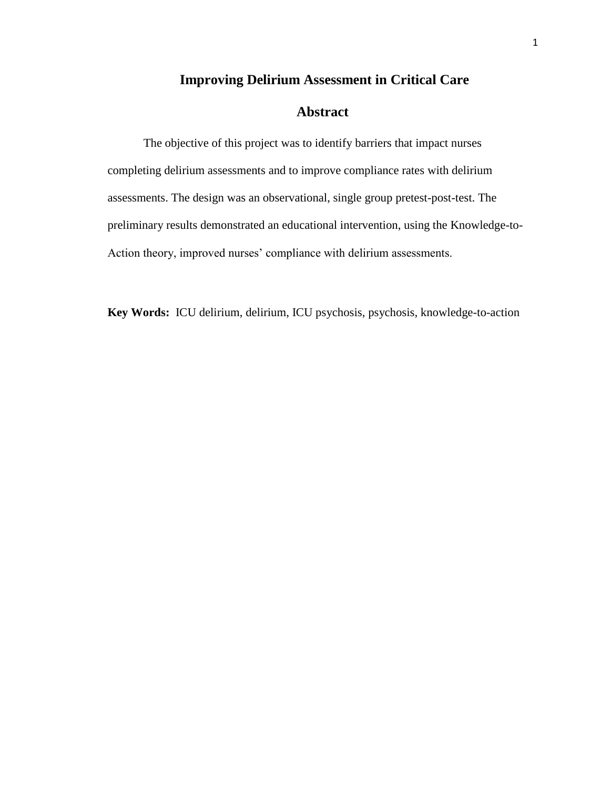### **Improving Delirium Assessment in Critical Care**

## **Abstract**

The objective of this project was to identify barriers that impact nurses completing delirium assessments and to improve compliance rates with delirium assessments. The design was an observational, single group pretest-post-test. The preliminary results demonstrated an educational intervention, using the Knowledge-to-Action theory, improved nurses' compliance with delirium assessments.

**Key Words:** ICU delirium, delirium, ICU psychosis, psychosis, knowledge-to-action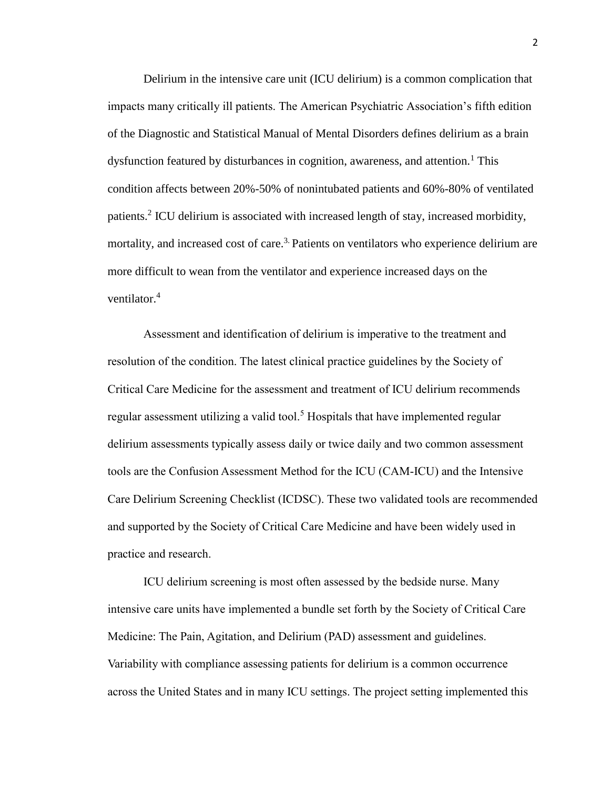Delirium in the intensive care unit (ICU delirium) is a common complication that impacts many critically ill patients. The American Psychiatric Association's fifth edition of the Diagnostic and Statistical Manual of Mental Disorders defines delirium as a brain dysfunction featured by disturbances in cognition, awareness, and attention.<sup>1</sup> This condition affects between 20%-50% of nonintubated patients and 60%-80% of ventilated patients.<sup>2</sup> ICU delirium is associated with increased length of stay, increased morbidity, mortality, and increased cost of care.<sup>3.</sup> Patients on ventilators who experience delirium are more difficult to wean from the ventilator and experience increased days on the ventilator.<sup>4</sup>

Assessment and identification of delirium is imperative to the treatment and resolution of the condition. The latest clinical practice guidelines by the Society of Critical Care Medicine for the assessment and treatment of ICU delirium recommends regular assessment utilizing a valid tool.<sup>5</sup> Hospitals that have implemented regular delirium assessments typically assess daily or twice daily and two common assessment tools are the Confusion Assessment Method for the ICU (CAM-ICU) and the Intensive Care Delirium Screening Checklist (ICDSC). These two validated tools are recommended and supported by the Society of Critical Care Medicine and have been widely used in practice and research.

ICU delirium screening is most often assessed by the bedside nurse. Many intensive care units have implemented a bundle set forth by the Society of Critical Care Medicine: The Pain, Agitation, and Delirium (PAD) assessment and guidelines. Variability with compliance assessing patients for delirium is a common occurrence across the United States and in many ICU settings. The project setting implemented this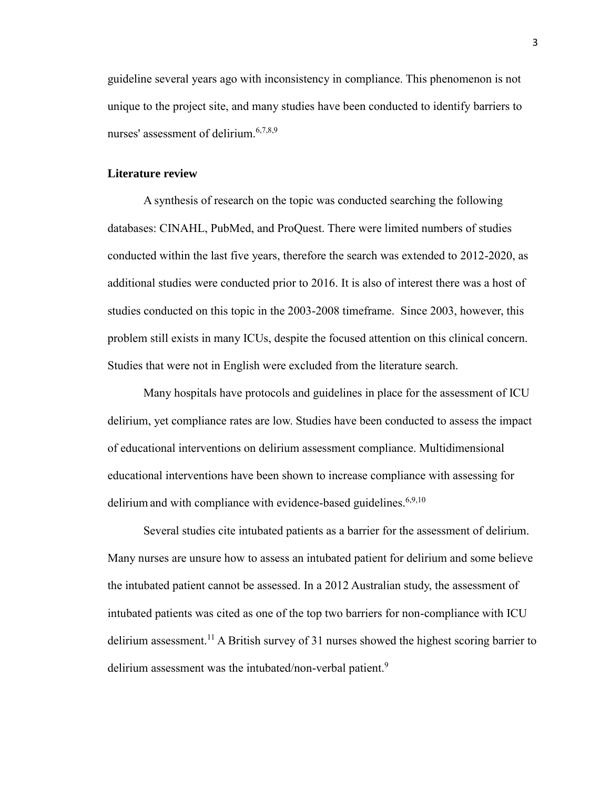guideline several years ago with inconsistency in compliance. This phenomenon is not unique to the project site, and many studies have been conducted to identify barriers to nurses' assessment of delirium. $6,7,8,9$ 

#### **Literature review**

A synthesis of research on the topic was conducted searching the following databases: CINAHL, PubMed, and ProQuest. There were limited numbers of studies conducted within the last five years, therefore the search was extended to 2012-2020, as additional studies were conducted prior to 2016. It is also of interest there was a host of studies conducted on this topic in the 2003-2008 timeframe. Since 2003, however, this problem still exists in many ICUs, despite the focused attention on this clinical concern. Studies that were not in English were excluded from the literature search.

Many hospitals have protocols and guidelines in place for the assessment of ICU delirium, yet compliance rates are low. Studies have been conducted to assess the impact of educational interventions on delirium assessment compliance. Multidimensional educational interventions have been shown to increase compliance with assessing for delirium and with compliance with evidence-based guidelines.<sup>6,9,10</sup>

Several studies cite intubated patients as a barrier for the assessment of delirium. Many nurses are unsure how to assess an intubated patient for delirium and some believe the intubated patient cannot be assessed. In a 2012 Australian study, the assessment of intubated patients was cited as one of the top two barriers for non-compliance with ICU delirium assessment.<sup>11</sup> A British survey of 31 nurses showed the highest scoring barrier to delirium assessment was the intubated/non-verbal patient.<sup>9</sup>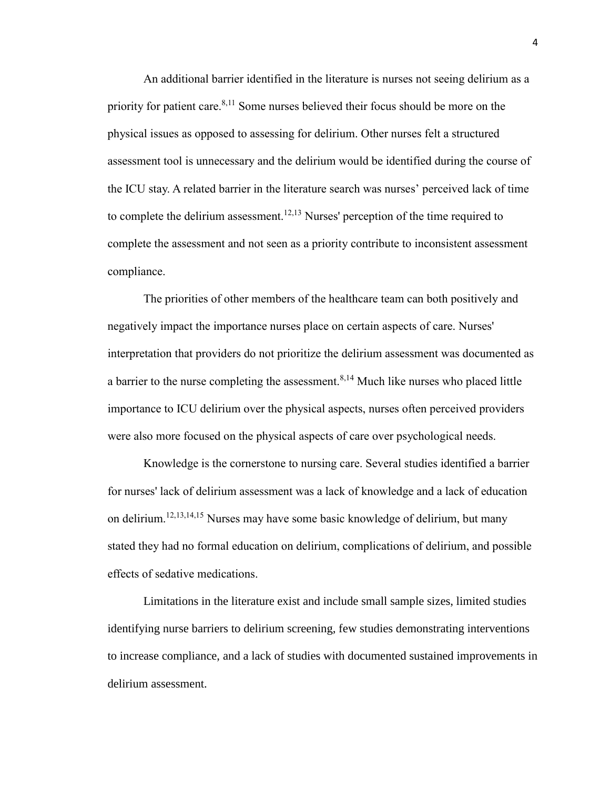An additional barrier identified in the literature is nurses not seeing delirium as a priority for patient care.  $8,11$  Some nurses believed their focus should be more on the physical issues as opposed to assessing for delirium. Other nurses felt a structured assessment tool is unnecessary and the delirium would be identified during the course of the ICU stay. A related barrier in the literature search was nurses' perceived lack of time to complete the delirium assessment.<sup>12,13</sup> Nurses' perception of the time required to complete the assessment and not seen as a priority contribute to inconsistent assessment compliance.

The priorities of other members of the healthcare team can both positively and negatively impact the importance nurses place on certain aspects of care. Nurses' interpretation that providers do not prioritize the delirium assessment was documented as a barrier to the nurse completing the assessment.  $8,14$  Much like nurses who placed little importance to ICU delirium over the physical aspects, nurses often perceived providers were also more focused on the physical aspects of care over psychological needs.

Knowledge is the cornerstone to nursing care. Several studies identified a barrier for nurses' lack of delirium assessment was a lack of knowledge and a lack of education on delirium.12,13,14,15 Nurses may have some basic knowledge of delirium, but many stated they had no formal education on delirium, complications of delirium, and possible effects of sedative medications.

 Limitations in the literature exist and include small sample sizes, limited studies identifying nurse barriers to delirium screening, few studies demonstrating interventions to increase compliance, and a lack of studies with documented sustained improvements in delirium assessment.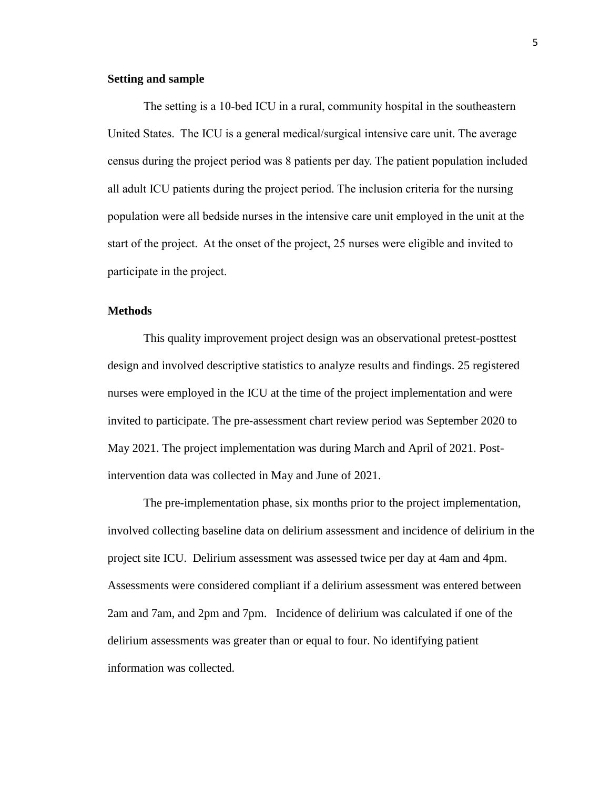#### **Setting and sample**

The setting is a 10-bed ICU in a rural, community hospital in the southeastern United States. The ICU is a general medical/surgical intensive care unit. The average census during the project period was 8 patients per day. The patient population included all adult ICU patients during the project period. The inclusion criteria for the nursing population were all bedside nurses in the intensive care unit employed in the unit at the start of the project. At the onset of the project, 25 nurses were eligible and invited to participate in the project.

#### **Methods**

This quality improvement project design was an observational pretest-posttest design and involved descriptive statistics to analyze results and findings. 25 registered nurses were employed in the ICU at the time of the project implementation and were invited to participate. The pre-assessment chart review period was September 2020 to May 2021. The project implementation was during March and April of 2021. Postintervention data was collected in May and June of 2021.

The pre-implementation phase, six months prior to the project implementation, involved collecting baseline data on delirium assessment and incidence of delirium in the project site ICU. Delirium assessment was assessed twice per day at 4am and 4pm. Assessments were considered compliant if a delirium assessment was entered between 2am and 7am, and 2pm and 7pm. Incidence of delirium was calculated if one of the delirium assessments was greater than or equal to four. No identifying patient information was collected.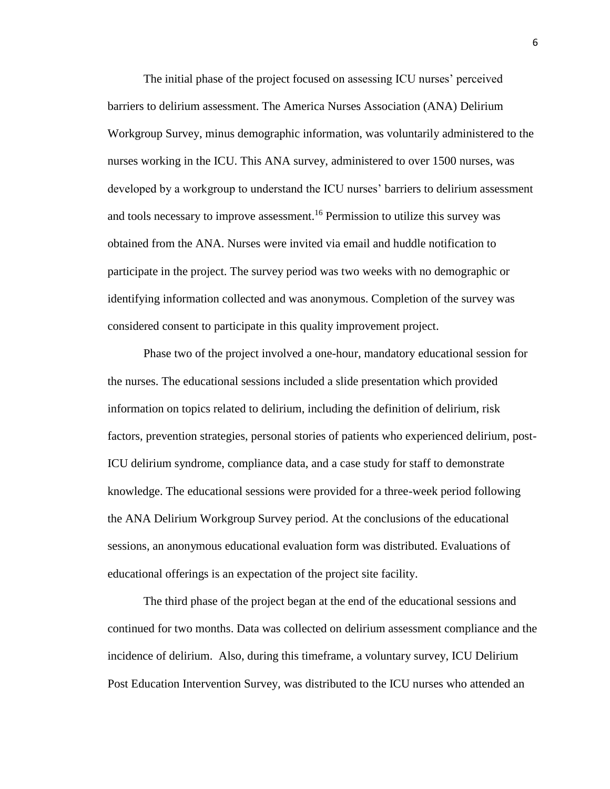The initial phase of the project focused on assessing ICU nurses' perceived barriers to delirium assessment. The America Nurses Association (ANA) Delirium Workgroup Survey, minus demographic information, was voluntarily administered to the nurses working in the ICU. This ANA survey, administered to over 1500 nurses, was developed by a workgroup to understand the ICU nurses' barriers to delirium assessment and tools necessary to improve assessment. <sup>16</sup> Permission to utilize this survey was obtained from the ANA. Nurses were invited via email and huddle notification to participate in the project. The survey period was two weeks with no demographic or identifying information collected and was anonymous. Completion of the survey was considered consent to participate in this quality improvement project.

Phase two of the project involved a one-hour, mandatory educational session for the nurses. The educational sessions included a slide presentation which provided information on topics related to delirium, including the definition of delirium, risk factors, prevention strategies, personal stories of patients who experienced delirium, post-ICU delirium syndrome, compliance data, and a case study for staff to demonstrate knowledge. The educational sessions were provided for a three-week period following the ANA Delirium Workgroup Survey period. At the conclusions of the educational sessions, an anonymous educational evaluation form was distributed. Evaluations of educational offerings is an expectation of the project site facility.

The third phase of the project began at the end of the educational sessions and continued for two months. Data was collected on delirium assessment compliance and the incidence of delirium. Also, during this timeframe, a voluntary survey, ICU Delirium Post Education Intervention Survey, was distributed to the ICU nurses who attended an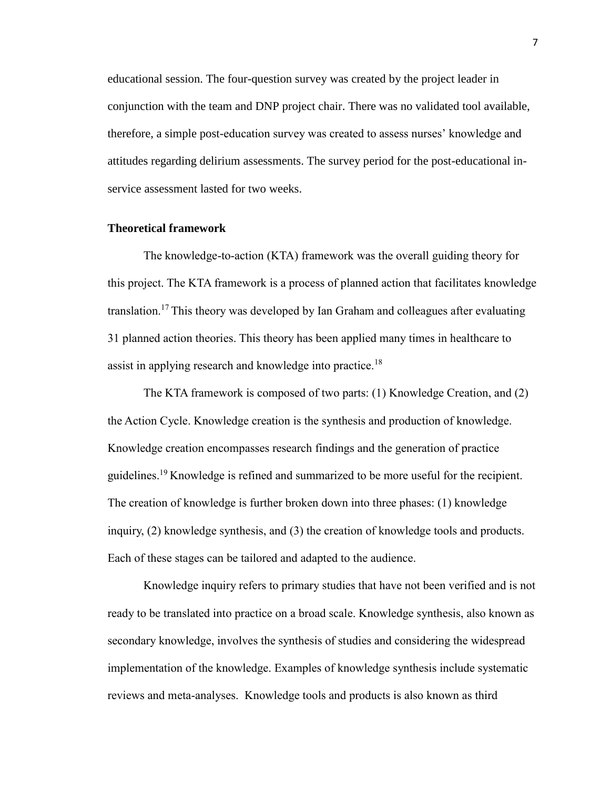educational session. The four-question survey was created by the project leader in conjunction with the team and DNP project chair. There was no validated tool available, therefore, a simple post-education survey was created to assess nurses' knowledge and attitudes regarding delirium assessments. The survey period for the post-educational inservice assessment lasted for two weeks.

#### **Theoretical framework**

The knowledge-to-action (KTA) framework was the overall guiding theory for this project. The KTA framework is a process of planned action that facilitates knowledge translation.<sup>17</sup> This theory was developed by Ian Graham and colleagues after evaluating 31 planned action theories. This theory has been applied many times in healthcare to assist in applying research and knowledge into practice.<sup>18</sup>

The KTA framework is composed of two parts: (1) Knowledge Creation, and (2) the Action Cycle. Knowledge creation is the synthesis and production of knowledge. Knowledge creation encompasses research findings and the generation of practice guidelines.<sup>19</sup> Knowledge is refined and summarized to be more useful for the recipient. The creation of knowledge is further broken down into three phases: (1) knowledge inquiry, (2) knowledge synthesis, and (3) the creation of knowledge tools and products. Each of these stages can be tailored and adapted to the audience.

Knowledge inquiry refers to primary studies that have not been verified and is not ready to be translated into practice on a broad scale. Knowledge synthesis, also known as secondary knowledge, involves the synthesis of studies and considering the widespread implementation of the knowledge. Examples of knowledge synthesis include systematic reviews and meta-analyses. Knowledge tools and products is also known as third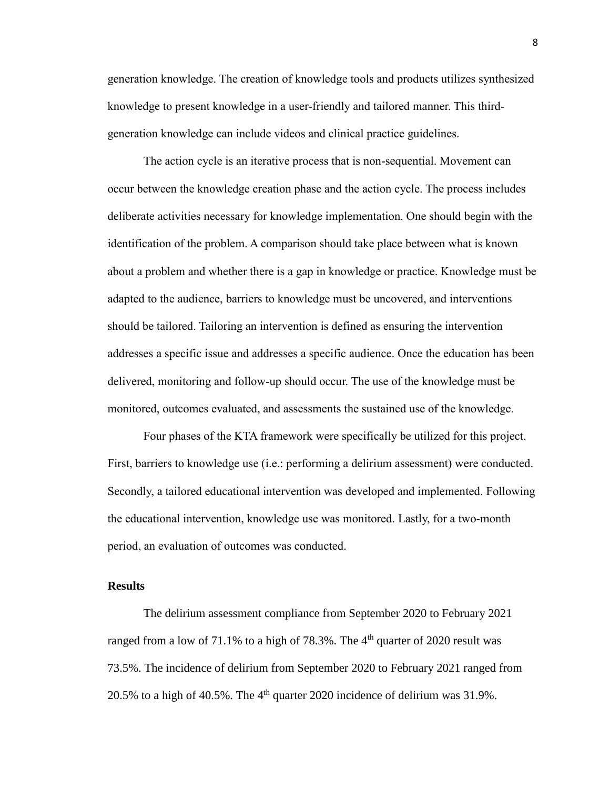generation knowledge. The creation of knowledge tools and products utilizes synthesized knowledge to present knowledge in a user-friendly and tailored manner. This thirdgeneration knowledge can include videos and clinical practice guidelines.

The action cycle is an iterative process that is non-sequential. Movement can occur between the knowledge creation phase and the action cycle. The process includes deliberate activities necessary for knowledge implementation. One should begin with the identification of the problem. A comparison should take place between what is known about a problem and whether there is a gap in knowledge or practice. Knowledge must be adapted to the audience, barriers to knowledge must be uncovered, and interventions should be tailored. Tailoring an intervention is defined as ensuring the intervention addresses a specific issue and addresses a specific audience. Once the education has been delivered, monitoring and follow-up should occur. The use of the knowledge must be monitored, outcomes evaluated, and assessments the sustained use of the knowledge.

Four phases of the KTA framework were specifically be utilized for this project. First, barriers to knowledge use (i.e.: performing a delirium assessment) were conducted. Secondly, a tailored educational intervention was developed and implemented. Following the educational intervention, knowledge use was monitored. Lastly, for a two-month period, an evaluation of outcomes was conducted.

#### **Results**

The delirium assessment compliance from September 2020 to February 2021 ranged from a low of 71.1% to a high of 78.3%. The  $4<sup>th</sup>$  quarter of 2020 result was 73.5%. The incidence of delirium from September 2020 to February 2021 ranged from 20.5% to a high of 40.5%. The  $4<sup>th</sup>$  quarter 2020 incidence of delirium was 31.9%.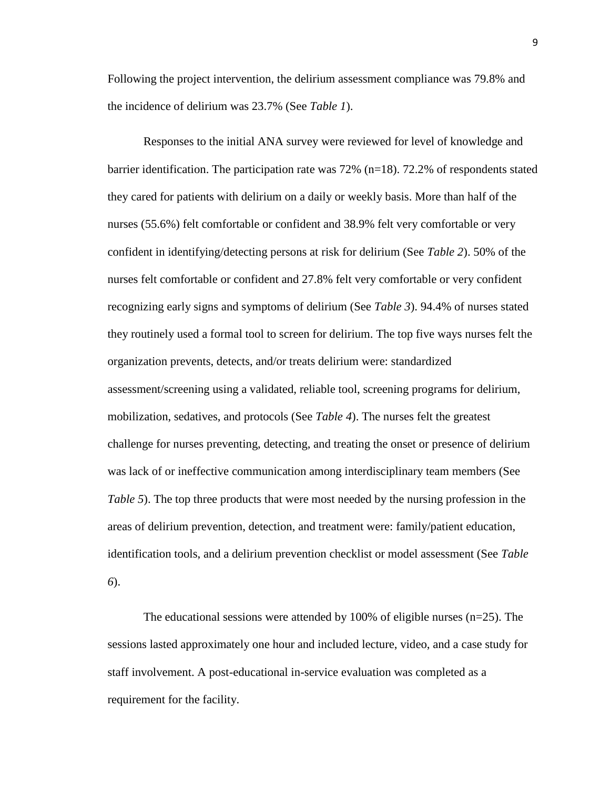Following the project intervention, the delirium assessment compliance was 79.8% and the incidence of delirium was 23.7% (See *Table 1*).

Responses to the initial ANA survey were reviewed for level of knowledge and barrier identification. The participation rate was 72% (n=18). 72.2% of respondents stated they cared for patients with delirium on a daily or weekly basis. More than half of the nurses (55.6%) felt comfortable or confident and 38.9% felt very comfortable or very confident in identifying/detecting persons at risk for delirium (See *Table 2*). 50% of the nurses felt comfortable or confident and 27.8% felt very comfortable or very confident recognizing early signs and symptoms of delirium (See *Table 3*). 94.4% of nurses stated they routinely used a formal tool to screen for delirium. The top five ways nurses felt the organization prevents, detects, and/or treats delirium were: standardized assessment/screening using a validated, reliable tool, screening programs for delirium, mobilization, sedatives, and protocols (See *Table 4*). The nurses felt the greatest challenge for nurses preventing, detecting, and treating the onset or presence of delirium was lack of or ineffective communication among interdisciplinary team members (See *Table 5*). The top three products that were most needed by the nursing profession in the areas of delirium prevention, detection, and treatment were: family/patient education, identification tools, and a delirium prevention checklist or model assessment (See *Table 6*).

The educational sessions were attended by 100% of eligible nurses (n=25). The sessions lasted approximately one hour and included lecture, video, and a case study for staff involvement. A post-educational in-service evaluation was completed as a requirement for the facility.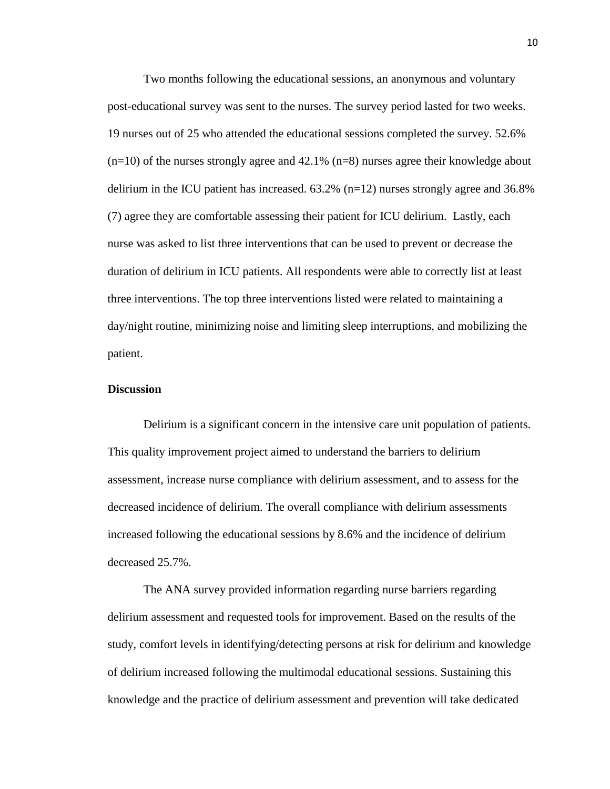Two months following the educational sessions, an anonymous and voluntary post-educational survey was sent to the nurses. The survey period lasted for two weeks. 19 nurses out of 25 who attended the educational sessions completed the survey. 52.6%  $(n=10)$  of the nurses strongly agree and 42.1%  $(n=8)$  nurses agree their knowledge about delirium in the ICU patient has increased.  $63.2\%$  (n=12) nurses strongly agree and 36.8% (7) agree they are comfortable assessing their patient for ICU delirium. Lastly, each nurse was asked to list three interventions that can be used to prevent or decrease the duration of delirium in ICU patients. All respondents were able to correctly list at least three interventions. The top three interventions listed were related to maintaining a day/night routine, minimizing noise and limiting sleep interruptions, and mobilizing the patient.

#### **Discussion**

Delirium is a significant concern in the intensive care unit population of patients. This quality improvement project aimed to understand the barriers to delirium assessment, increase nurse compliance with delirium assessment, and to assess for the decreased incidence of delirium. The overall compliance with delirium assessments increased following the educational sessions by 8.6% and the incidence of delirium decreased 25.7%.

The ANA survey provided information regarding nurse barriers regarding delirium assessment and requested tools for improvement. Based on the results of the study, comfort levels in identifying/detecting persons at risk for delirium and knowledge of delirium increased following the multimodal educational sessions. Sustaining this knowledge and the practice of delirium assessment and prevention will take dedicated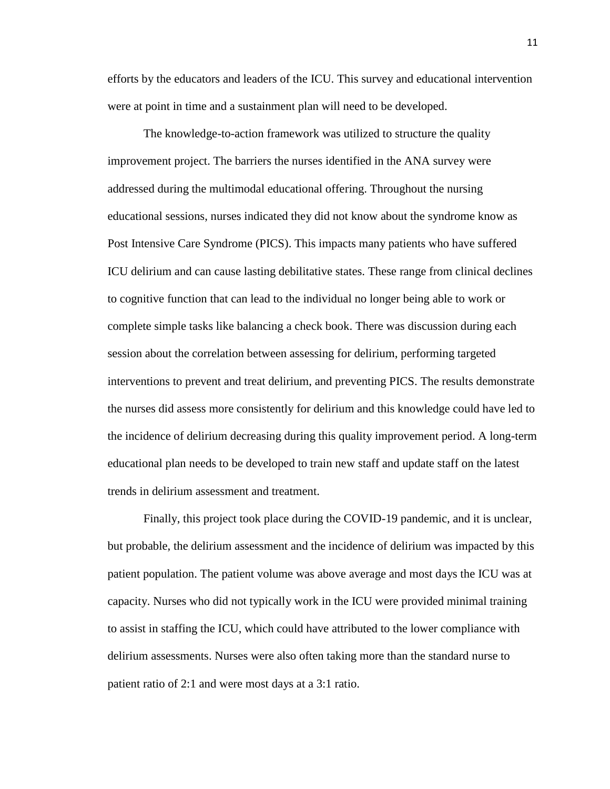efforts by the educators and leaders of the ICU. This survey and educational intervention were at point in time and a sustainment plan will need to be developed.

The knowledge-to-action framework was utilized to structure the quality improvement project. The barriers the nurses identified in the ANA survey were addressed during the multimodal educational offering. Throughout the nursing educational sessions, nurses indicated they did not know about the syndrome know as Post Intensive Care Syndrome (PICS). This impacts many patients who have suffered ICU delirium and can cause lasting debilitative states. These range from clinical declines to cognitive function that can lead to the individual no longer being able to work or complete simple tasks like balancing a check book. There was discussion during each session about the correlation between assessing for delirium, performing targeted interventions to prevent and treat delirium, and preventing PICS. The results demonstrate the nurses did assess more consistently for delirium and this knowledge could have led to the incidence of delirium decreasing during this quality improvement period. A long-term educational plan needs to be developed to train new staff and update staff on the latest trends in delirium assessment and treatment.

Finally, this project took place during the COVID-19 pandemic, and it is unclear, but probable, the delirium assessment and the incidence of delirium was impacted by this patient population. The patient volume was above average and most days the ICU was at capacity. Nurses who did not typically work in the ICU were provided minimal training to assist in staffing the ICU, which could have attributed to the lower compliance with delirium assessments. Nurses were also often taking more than the standard nurse to patient ratio of 2:1 and were most days at a 3:1 ratio.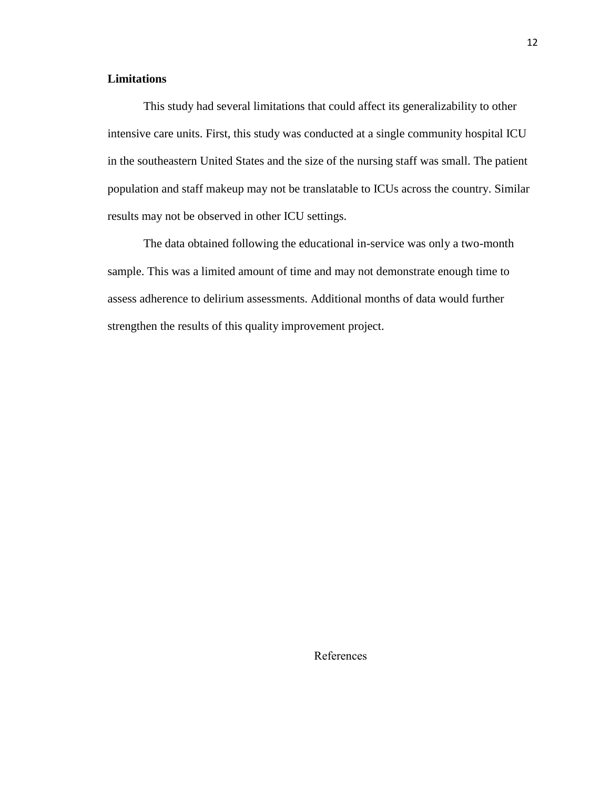### **Limitations**

This study had several limitations that could affect its generalizability to other intensive care units. First, this study was conducted at a single community hospital ICU in the southeastern United States and the size of the nursing staff was small. The patient population and staff makeup may not be translatable to ICUs across the country. Similar results may not be observed in other ICU settings.

The data obtained following the educational in-service was only a two-month sample. This was a limited amount of time and may not demonstrate enough time to assess adherence to delirium assessments. Additional months of data would further strengthen the results of this quality improvement project.

References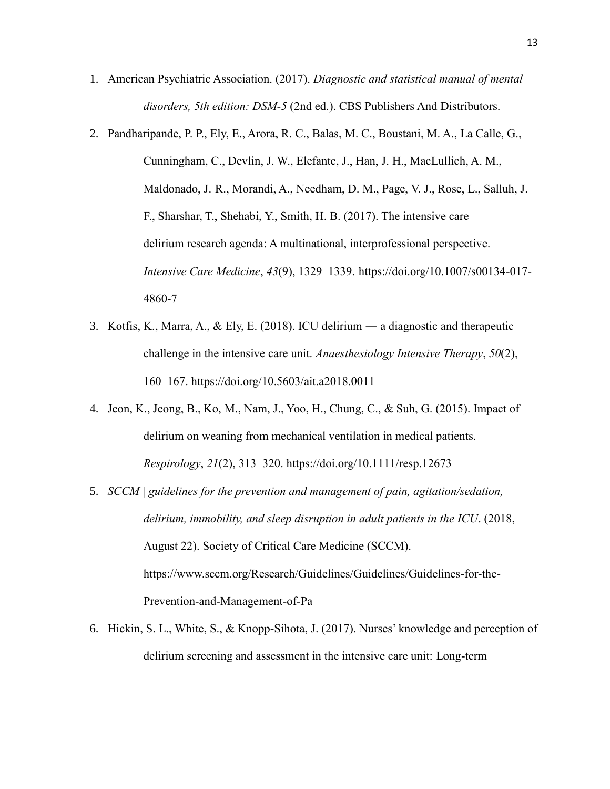- 1. American Psychiatric Association. (2017). *Diagnostic and statistical manual of mental disorders, 5th edition: DSM-5* (2nd ed.). CBS Publishers And Distributors.
- 2. Pandharipande, P. P., Ely, E., Arora, R. C., Balas, M. C., Boustani, M. A., La Calle, G., Cunningham, C., Devlin, J. W., Elefante, J., Han, J. H., MacLullich, A. M., Maldonado, J. R., Morandi, A., Needham, D. M., Page, V. J., Rose, L., Salluh, J. F., Sharshar, T., Shehabi, Y., Smith, H. B. (2017). The intensive care delirium research agenda: A multinational, interprofessional perspective. *Intensive Care Medicine*, *43*(9), 1329–1339. [https://doi.org/10.1007/s00134-017-](https://doi.org/10.1007/s00134-017-4860-7) [4860-7](https://doi.org/10.1007/s00134-017-4860-7)
- 3. Kotfis, K., Marra, A., & Ely, E. (2018). ICU delirium ― a diagnostic and therapeutic challenge in the intensive care unit. *Anaesthesiology Intensive Therapy*, *50*(2), 160–167.<https://doi.org/10.5603/ait.a2018.0011>
- 4. Jeon, K., Jeong, B., Ko, M., Nam, J., Yoo, H., Chung, C., & Suh, G. (2015). Impact of delirium on weaning from mechanical ventilation in medical patients. *Respirology*, *21*(2), 313–320.<https://doi.org/10.1111/resp.12673>
- 5. *SCCM | guidelines for the prevention and management of pain, agitation/sedation, delirium, immobility, and sleep disruption in adult patients in the ICU*. (2018, August 22). Society of Critical Care Medicine (SCCM). [https://www.sccm.org/Research/Guidelines/Guidelines/Guidelines-for-the-](https://www.sccm.org/Research/Guidelines/Guidelines/Guidelines-for-the-Prevention-and-Management-of-Pa)[Prevention-and-Management-of-Pa](https://www.sccm.org/Research/Guidelines/Guidelines/Guidelines-for-the-Prevention-and-Management-of-Pa)
- 6. Hickin, S. L., White, S., & Knopp-Sihota, J. (2017). Nurses' knowledge and perception of delirium screening and assessment in the intensive care unit: Long-term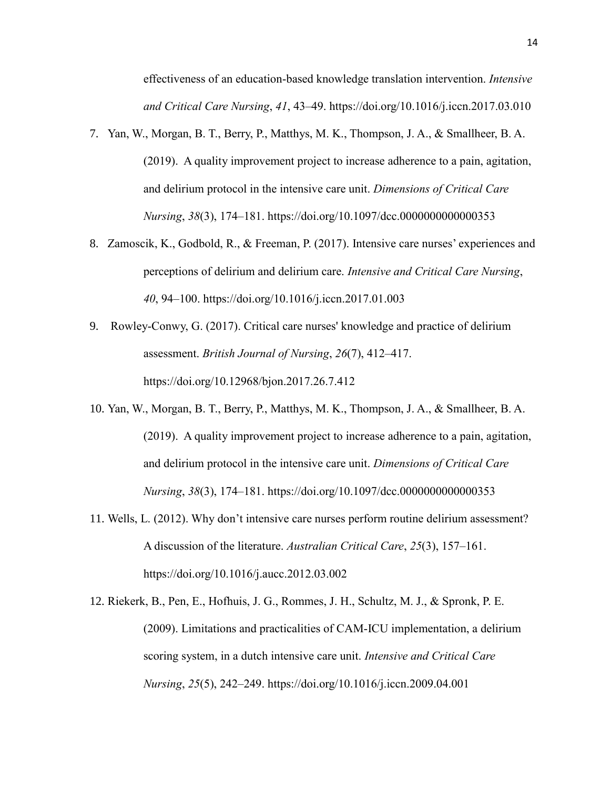effectiveness of an education-based knowledge translation intervention. *Intensive and Critical Care Nursing*, *41*, 43–49.<https://doi.org/10.1016/j.iccn.2017.03.010>

- 7. Yan, W., Morgan, B. T., Berry, P., Matthys, M. K., Thompson, J. A., & Smallheer, B. A. (2019). A quality improvement project to increase adherence to a pain, agitation, and delirium protocol in the intensive care unit. *Dimensions of Critical Care Nursing*, *38*(3), 174–181.<https://doi.org/10.1097/dcc.0000000000000353>
- 8. Zamoscik, K., Godbold, R., & Freeman, P. (2017). Intensive care nurses' experiences and perceptions of delirium and delirium care. *Intensive and Critical Care Nursing*, *40*, 94–100.<https://doi.org/10.1016/j.iccn.2017.01.003>
- 9. Rowley-Conwy, G. (2017). Critical care nurses' knowledge and practice of delirium assessment. *British Journal of Nursing*, *26*(7), 412–417. <https://doi.org/10.12968/bjon.2017.26.7.412>
- 10. Yan, W., Morgan, B. T., Berry, P., Matthys, M. K., Thompson, J. A., & Smallheer, B. A. (2019). A quality improvement project to increase adherence to a pain, agitation, and delirium protocol in the intensive care unit. *Dimensions of Critical Care Nursing*, *38*(3), 174–181.<https://doi.org/10.1097/dcc.0000000000000353>
- 11. Wells, L. (2012). Why don't intensive care nurses perform routine delirium assessment? A discussion of the literature. *Australian Critical Care*, *25*(3), 157–161. <https://doi.org/10.1016/j.aucc.2012.03.002>
- 12. Riekerk, B., Pen, E., Hofhuis, J. G., Rommes, J. H., Schultz, M. J., & Spronk, P. E. (2009). Limitations and practicalities of CAM-ICU implementation, a delirium scoring system, in a dutch intensive care unit. *Intensive and Critical Care Nursing*, *25*(5), 242–249.<https://doi.org/10.1016/j.iccn.2009.04.001>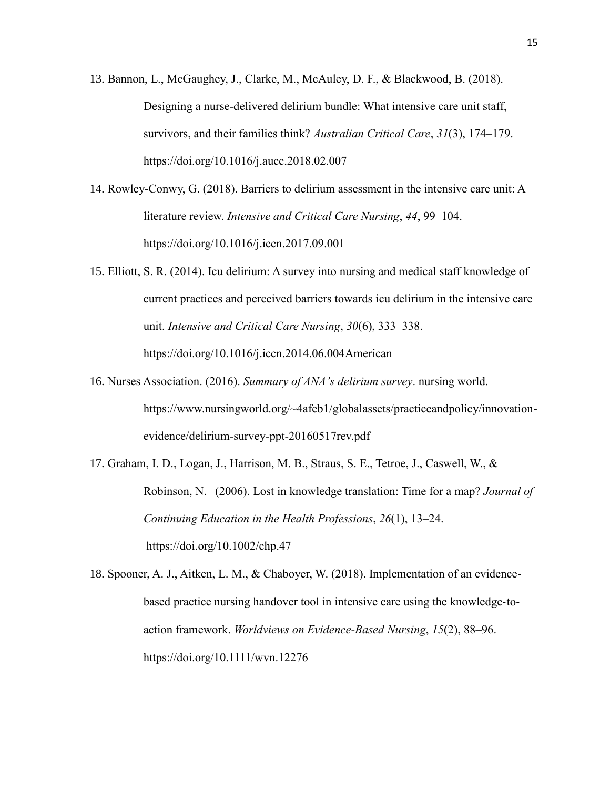- 13. Bannon, L., McGaughey, J., Clarke, M., McAuley, D. F., & Blackwood, B. (2018). Designing a nurse-delivered delirium bundle: What intensive care unit staff, survivors, and their families think? *Australian Critical Care*, *31*(3), 174–179. <https://doi.org/10.1016/j.aucc.2018.02.007>
- 14. Rowley-Conwy, G. (2018). Barriers to delirium assessment in the intensive care unit: A literature review. *Intensive and Critical Care Nursing*, *44*, 99–104. <https://doi.org/10.1016/j.iccn.2017.09.001>
- 15. Elliott, S. R. (2014). Icu delirium: A survey into nursing and medical staff knowledge of current practices and perceived barriers towards icu delirium in the intensive care unit. *Intensive and Critical Care Nursing*, *30*(6), 333–338. [https://doi.org/10.1016/j.iccn.2014.06.004A](https://doi.org/10.1016/j.iccn.2014.06.004)merican
- 16. Nurses Association. (2016). *Summary of ANA's delirium survey*. nursing world. https://www.nursingworld.org/~4afeb1/globalassets/practiceandpolicy/innovationevidence/delirium-survey-ppt-20160517rev.pdf
- 17. Graham, I. D., Logan, J., Harrison, M. B., Straus, S. E., Tetroe, J., Caswell, W., & Robinson, N. (2006). Lost in knowledge translation: Time for a map? *Journal of Continuing Education in the Health Professions*, *26*(1), 13–24. <https://doi.org/10.1002/chp.47>

18. Spooner, A. J., Aitken, L. M., & Chaboyer, W. (2018). Implementation of an evidence‐ based practice nursing handover tool in intensive care using the knowledge-toaction framework. *Worldviews on Evidence-Based Nursing*, *15*(2), 88–96. <https://doi.org/10.1111/wvn.12276>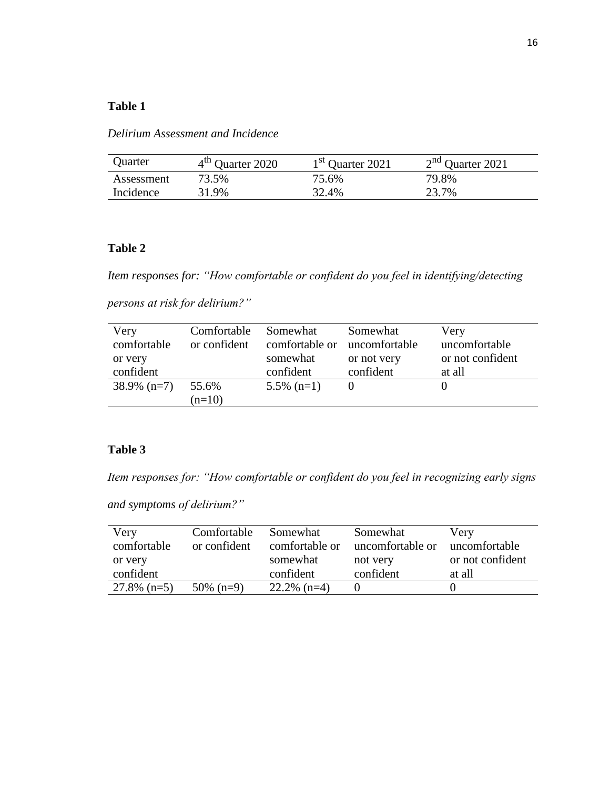### **Table 1**

*Delirium Assessment and Incidence* 

| Quarter    | 4 <sup>th</sup> Quarter 2020 | 1 <sup>st</sup> Quarter 2021 | $2nd$ Quarter 2021 |
|------------|------------------------------|------------------------------|--------------------|
| Assessment | 73.5%                        | 75.6%                        | 79.8%              |
| Incidence  | 31.9%                        | 32.4%                        | 23.7%              |

### **Table 2**

*Item responses for: "How comfortable or confident do you feel in identifying/detecting* 

*persons at risk for delirium?"*

| Very           | Comfortable  | Somewhat                     | Somewhat    | Very             |
|----------------|--------------|------------------------------|-------------|------------------|
| comfortable    | or confident | comfortable or uncomfortable |             | uncomfortable    |
| or very        |              | somewhat                     | or not very | or not confident |
| confident      |              | confident                    | confident   | at all           |
| $38.9\%$ (n=7) | 55.6%        | $5.5\%$ (n=1)                |             |                  |
|                | $(n=10)$     |                              |             |                  |

### **Table 3**

*Item responses for: "How comfortable or confident do you feel in recognizing early signs* 

*and symptoms of delirium?"*

| Very<br>comfortable<br>or very | Comfortable<br>or confident | Somewhat<br>comfortable or<br>somewhat | Somewhat<br>uncomfortable or<br>not very | Very<br>uncomfortable<br>or not confident |
|--------------------------------|-----------------------------|----------------------------------------|------------------------------------------|-------------------------------------------|
| confident                      |                             | confident                              | confident                                | at all                                    |
| $27.8\%$ (n=5)                 | $50\%$ (n=9)                | $22.2\%$ (n=4)                         |                                          |                                           |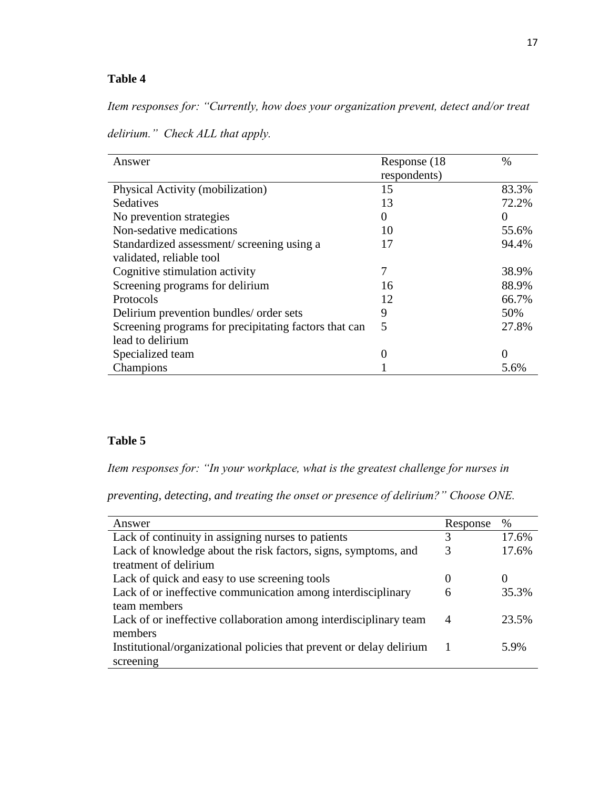## **Table 4**

*Item responses for: "Currently, how does your organization prevent, detect and/or treat* 

| delirium." Check ALL that apply. |  |
|----------------------------------|--|

| Answer                                                | Response (18)<br>respondents) | $\%$  |
|-------------------------------------------------------|-------------------------------|-------|
| Physical Activity (mobilization)                      | 15                            | 83.3% |
| Sedatives                                             | 13                            | 72.2% |
| No prevention strategies                              | 0                             |       |
| Non-sedative medications                              | 10                            | 55.6% |
| Standardized assessment/screening using a             | 17                            | 94.4% |
| validated, reliable tool                              |                               |       |
| Cognitive stimulation activity                        | 7                             | 38.9% |
| Screening programs for delirium                       | 16                            | 88.9% |
| Protocols                                             | 12                            | 66.7% |
| Delirium prevention bundles/ order sets               | 9                             | 50%   |
| Screening programs for precipitating factors that can | 5                             | 27.8% |
| lead to delirium                                      |                               |       |
| Specialized team                                      |                               |       |
| Champions                                             |                               | 5.6%  |

### **Table 5**

*Item responses for: "In your workplace, what is the greatest challenge for nurses in* 

*preventing, detecting, and treating the onset or presence of delirium?" Choose ONE.*

| Answer                                                               | Response | $\frac{0}{0}$ |
|----------------------------------------------------------------------|----------|---------------|
| Lack of continuity in assigning nurses to patients                   | 3        | 17.6%         |
| Lack of knowledge about the risk factors, signs, symptoms, and       |          | 17.6%         |
| treatment of delirium                                                |          |               |
| Lack of quick and easy to use screening tools                        | $\theta$ |               |
| Lack of or ineffective communication among interdisciplinary         | 6        | 35.3%         |
| team members                                                         |          |               |
| Lack of or ineffective collaboration among interdisciplinary team    | 4        | 23.5%         |
| members                                                              |          |               |
| Institutional/organizational policies that prevent or delay delirium |          | 5.9%          |
| screening                                                            |          |               |